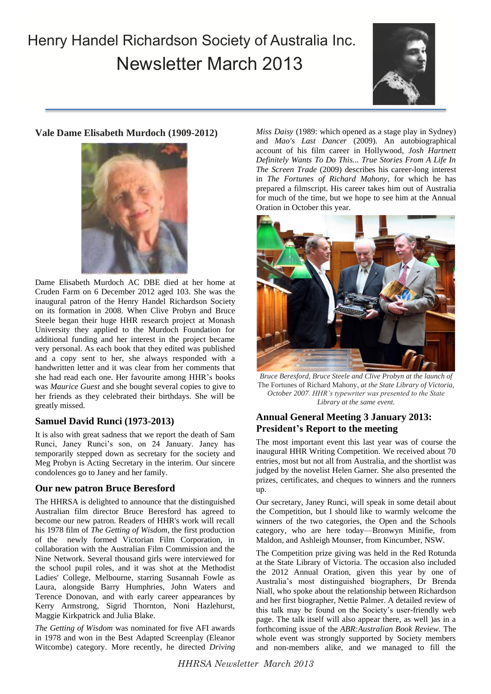# Henry Handel Richardson Society of Australia Inc. Newsletter March 2013



# **Vale Dame Elisabeth Murdoch (1909-2012)**



Dame Elisabeth Murdoch AC DBE died at her home at Cruden Farm on 6 December 2012 aged 103. She was the inaugural patron of the Henry Handel Richardson Society on its formation in 2008. When Clive Probyn and Bruce Steele began their huge HHR research project at Monash University they applied to the Murdoch Foundation for additional funding and her interest in the project became very personal. As each book that they edited was published and a copy sent to her, she always responded with a handwritten letter and it was clear from her comments that she had read each one. Her favourite among HHR's books was *Maurice Guest* and she bought several copies to give to her friends as they celebrated their birthdays. She will be greatly missed.

## **Samuel David Runci (1973-2013)**

It is also with great sadness that we report the death of Sam Runci, Janey Runci's son, on 24 January. Janey has temporarily stepped down as secretary for the society and Meg Probyn is Acting Secretary in the interim. Our sincere condolences go to Janey and her family.

## **Our new patron Bruce Beresford**

The HHRSA is delighted to announce that the distinguished Australian film director Bruce Beresford has agreed to become our new patron. Readers of HHR's work will recall his 1978 film of *The Getting of Wisdom*, the first production of the newly formed Victorian Film Corporation, in collaboration with the Australian Film Commission and the Nine Network. Several thousand girls were interviewed for the school pupil roles, and it was shot at the Methodist Ladies' College, Melbourne, starring Susannah Fowle as Laura, alongside Barry Humphries, John Waters and Terence Donovan, and with early career appearances by Kerry Armstrong, Sigrid Thornton, Noni Hazlehurst, Maggie Kirkpatrick and Julia Blake.

*The Getting of Wisdom* was nominated for five AFI awards in 1978 and won in the Best Adapted Screenplay (Eleanor Witcombe) category. More recently, he directed *Driving* 

*Miss Daisy* (1989: which opened as a stage play in Sydney) and *Mao's Last Dancer* (2009). An autobiographical account of his film career in Hollywood, *Josh Hartnett Definitely Wants To Do This... True Stories From A Life In The Screen Trade* (2009) describes his career-long interest in *The Fortunes of Richard Mahony*, for which he has prepared a filmscript. His career takes him out of Australia for much of the time, but we hope to see him at the Annual Oration in October this year.



*Bruce Beresford, Bruce Steele and Clive Probyn at the launch of*  The Fortunes of Richard Mahony*, at the State Library of Victoria, October 2007. HHR's typewriter was presented to the State Library at the same event.*

# **Annual General Meeting 3 January 2013: President's Report to the meeting**

The most important event this last year was of course the inaugural HHR Writing Competition. We received about 70 entries, most but not all from Australia, and the shortlist was judged by the novelist Helen Garner. She also presented the prizes, certificates, and cheques to winners and the runners up.

Our secretary, Janey Runci, will speak in some detail about the Competition, but I should like to warmly welcome the winners of the two categories, the Open and the Schools category, who are here today—Bronwyn Minifie, from Maldon, and Ashleigh Mounser, from Kincumber, NSW.

The Competition prize giving was held in the Red Rotunda at the State Library of Victoria. The occasion also included the 2012 Annual Oration, given this year by one of Australia's most distinguished biographers, Dr Brenda Niall, who spoke about the relationship between Richardson and her first biographer, Nettie Palmer. A detailed review of this talk may be found on the Society's user-friendly web page. The talk itself will also appear there, as well )as in a forthcoming issue of the *ABR:Australian Book Review*. The whole event was strongly supported by Society members and non-members alike, and we managed to fill the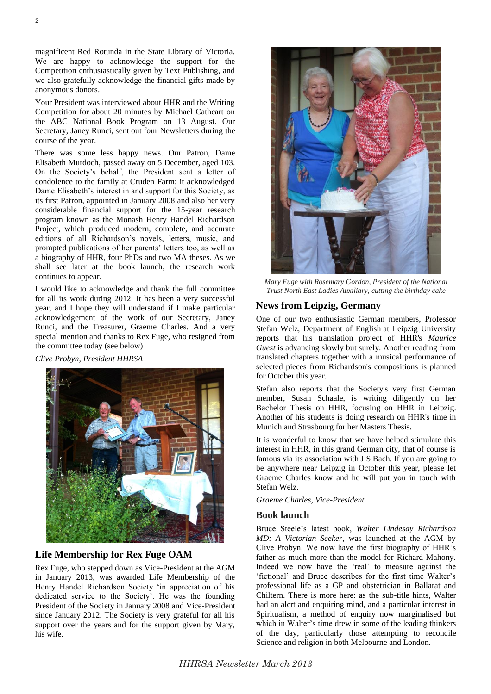magnificent Red Rotunda in the State Library of Victoria. We are happy to acknowledge the support for the Competition enthusiastically given by Text Publishing, and we also gratefully acknowledge the financial gifts made by anonymous donors.

Your President was interviewed about HHR and the Writing Competition for about 20 minutes by Michael Cathcart on the ABC National Book Program on 13 August. Our Secretary, Janey Runci, sent out four Newsletters during the course of the year.

There was some less happy news. Our Patron, Dame Elisabeth Murdoch, passed away on 5 December, aged 103. On the Society's behalf, the President sent a letter of condolence to the family at Cruden Farm: it acknowledged Dame Elisabeth's interest in and support for this Society, as its first Patron, appointed in January 2008 and also her very considerable financial support for the 15-year research program known as the Monash Henry Handel Richardson Project, which produced modern, complete, and accurate editions of all Richardson's novels, letters, music, and prompted publications of her parents' letters too, as well as a biography of HHR, four PhDs and two MA theses. As we shall see later at the book launch, the research work continues to appear.

I would like to acknowledge and thank the full committee for all its work during 2012. It has been a very successful year, and I hope they will understand if I make particular acknowledgement of the work of our Secretary, Janey Runci, and the Treasurer, Graeme Charles. And a very special mention and thanks to Rex Fuge, who resigned from the committee today (see below)

*Clive Probyn, President HHRSA*



## **Life Membership for Rex Fuge OAM**

Rex Fuge, who stepped down as Vice-President at the AGM in January 2013, was awarded Life Membership of the Henry Handel Richardson Society 'in appreciation of his dedicated service to the Society'. He was the founding President of the Society in January 2008 and Vice-President since January 2012. The Society is very grateful for all his support over the years and for the support given by Mary, his wife.



*Mary Fuge with Rosemary Gordon, President of the National Trust North East Ladies Auxiliary, cutting the birthday cake*

#### **News from Leipzig, Germany**

One of our two enthusiastic German members, Professor Stefan Welz, Department of English at Leipzig University reports that his translation project of HHR's *Maurice Guest* is advancing slowly but surely. Another reading from translated chapters together with a musical performance of selected pieces from Richardson's compositions is planned for October this year.

Stefan also reports that the Society's very first German member, Susan Schaale, is writing diligently on her Bachelor Thesis on HHR, focusing on HHR in Leipzig. Another of his students is doing research on HHR's time in Munich and Strasbourg for her Masters Thesis.

It is wonderful to know that we have helped stimulate this interest in HHR, in this grand German city, that of course is famous via its association with J S Bach. If you are going to be anywhere near Leipzig in October this year, please let Graeme Charles know and he will put you in touch with Stefan Welz.

*Graeme Charles, Vice-President*

#### **Book launch**

Bruce Steele's latest book, *Walter Lindesay Richardson MD: A Victorian Seeker*, was launched at the AGM by Clive Probyn. We now have the first biography of HHR's father as much more than the model for Richard Mahony. Indeed we now have the 'real' to measure against the 'fictional' and Bruce describes for the first time Walter's professional life as a GP and obstetrician in Ballarat and Chiltern. There is more here: as the sub-title hints, Walter had an alert and enquiring mind, and a particular interest in Spiritualism, a method of enquiry now marginalised but which in Walter's time drew in some of the leading thinkers of the day, particularly those attempting to reconcile Science and religion in both Melbourne and London.